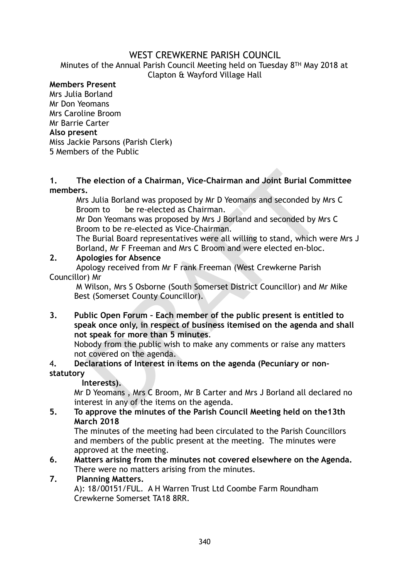# WEST CREWKERNE PARISH COUNCIL

Minutes of the Annual Parish Council Meeting held on Tuesday 8TH May 2018 at Clapton & Wayford Village Hall

## **Members Present**

Mrs Julia Borland Mr Don Yeomans Mrs Caroline Broom Mr Barrie Carter **Also present**  Miss Jackie Parsons (Parish Clerk) 5 Members of the Public

#### **1. The election of a Chairman, Vice-Chairman and Joint Burial Committee members.**

Mrs Julia Borland was proposed by Mr D Yeomans and seconded by Mrs C Broom to be re-elected as Chairman.

Mr Don Yeomans was proposed by Mrs J Borland and seconded by Mrs C Broom to be re-elected as Vice-Chairman.

The Burial Board representatives were all willing to stand, which were Mrs J Borland, Mr F Freeman and Mrs C Broom and were elected en-bloc.

#### **2. Apologies for Absence**

 Apology received from Mr F rank Freeman (West Crewkerne Parish Councillor) Mr

M Wilson, Mrs S Osborne (South Somerset District Councillor) and Mr Mike Best (Somerset County Councillor).

is election of a Chairman, Vice-Chairman and Joint Burial Com<br>
S Julia Borland was proposed by Mr D Yeomans and seconded by M<br>
Doom to be re-elected as Chairman.<br>
Don Yeomans was proposed by Mr D Yeomans and seconded by Mr **3. Public Open Forum – Each member of the public present is entitled to speak once only, in respect of business itemised on the agenda and shall not speak for more than 5 minutes**.

Nobody from the public wish to make any comments or raise any matters not covered on the agenda.

### 4**. Declarations of Interest in items on the agenda (Pecuniary or nonstatutory**

 **Interests).**

Mr D Yeomans , Mrs C Broom, Mr B Carter and Mrs J Borland all declared no interest in any of the items on the agenda.

**5. To approve the minutes of the Parish Council Meeting held on the13th March 2018** 

The minutes of the meeting had been circulated to the Parish Councillors and members of the public present at the meeting. The minutes were approved at the meeting.

**6. Matters arising from the minutes not covered elsewhere on the Agenda.** There were no matters arising from the minutes.

#### **7. Planning Matters.**

A): 18/00151/FUL. A H Warren Trust Ltd Coombe Farm Roundham Crewkerne Somerset TA18 8RR.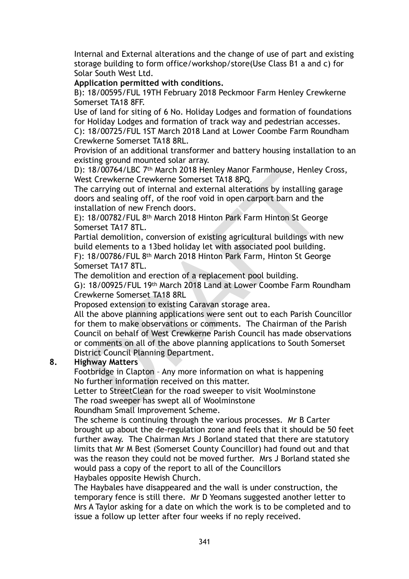Internal and External alterations and the change of use of part and existing storage building to form office/workshop/store(Use Class B1 a and c) for Solar South West Ltd.

**Application permitted with conditions.** 

B): 18/00595/FUL 19TH February 2018 Peckmoor Farm Henley Crewkerne Somerset TA18 8FF.

Use of land for siting of 6 No. Holiday Lodges and formation of foundations for Holiday Lodges and formation of track way and pedestrian accesses.

C): 18/00725/FUL 1ST March 2018 Land at Lower Coombe Farm Roundham Crewkerne Somerset TA18 8RL.

Provision of an additional transformer and battery housing installation to an existing ground mounted solar array.

D): 18/00764/LBC 7th March 2018 Henley Manor Farmhouse, Henley Cross, West Crewkerne Crewkerne Somerset TA18 8PQ.

The carrying out of internal and external alterations by installing garage doors and sealing off, of the roof void in open carport barn and the installation of new French doors.

E): 18/00782/FUL 8th March 2018 Hinton Park Farm Hinton St George Somerset TA17 8TL.

Partial demolition, conversion of existing agricultural buildings with new build elements to a 13bed holiday let with associated pool building. F): 18/00786/FUL 8th March 2018 Hinton Park Farm, Hinton St George Somerset TA17 8TL.

The demolition and erection of a replacement pool building.

G): 18/00925/FUL 19th March 2018 Land at Lower Coombe Farm Roundham Crewkerne Somerset TA18 8RL

Proposed extension to existing Caravan storage area.

18/00/64/LBC 7<sup>th</sup> March 2018 Henley Manor Farmhouse, Henley is<br>to Crewkerne Crewkerne Somerst TA18 8PQ.<br>E carying out of internal and external atterations by installing ga<br>ors and sealing off, of the roof void in open car All the above planning applications were sent out to each Parish Councillor for them to make observations or comments. The Chairman of the Parish Council on behalf of West Crewkerne Parish Council has made observations or comments on all of the above planning applications to South Somerset District Council Planning Department.

## **8. Highway Matters**

Footbridge in Clapton – Any more information on what is happening No further information received on this matter.

Letter to StreetClean for the road sweeper to visit Woolminstone The road sweeper has swept all of Woolminstone

Roundham Small Improvement Scheme.

The scheme is continuing through the various processes. Mr B Carter brought up about the de-regulation zone and feels that it should be 50 feet further away. The Chairman Mrs J Borland stated that there are statutory limits that Mr M Best (Somerset County Councillor) had found out and that was the reason they could not be moved further. Mrs J Borland stated she would pass a copy of the report to all of the Councillors Haybales opposite Hewish Church.

The Haybales have disappeared and the wall is under construction, the temporary fence is still there. Mr D Yeomans suggested another letter to Mrs A Taylor asking for a date on which the work is to be completed and to issue a follow up letter after four weeks if no reply received.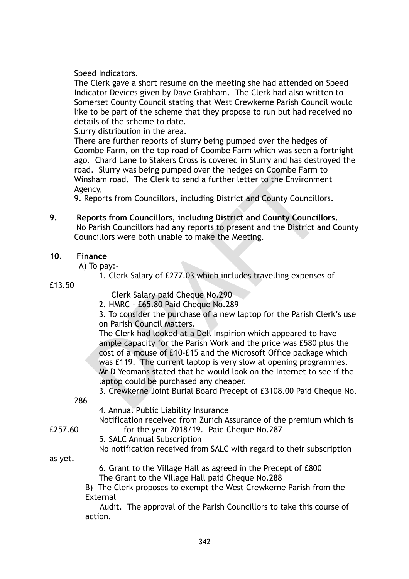Speed Indicators.

The Clerk gave a short resume on the meeting she had attended on Speed Indicator Devices given by Dave Grabham. The Clerk had also written to Somerset County Council stating that West Crewkerne Parish Council would like to be part of the scheme that they propose to run but had received no details of the scheme to date.

Slurry distribution in the area.

There are further reports of slurry being pumped over the hedges of Coombe Farm, on the top road of Coombe Farm which was seen a fortnight ago. Chard Lane to Stakers Cross is covered in Slurry and has destroyed the road. Slurry was being pumped over the hedges on Coombe Farm to Winsham road. The Clerk to send a further letter to the Environment Agency,

9. Reports from Councillors, including District and County Councillors.

**9. Reports from Councillors, including District and County Councillors.**  No Parish Councillors had any reports to present and the District and County Councillors were both unable to make the Meeting.

### **10. Finance**

A) To pay:-

1. Clerk Salary of £277.03 which includes travelling expenses of

#### £13.50

Clerk Salary paid Cheque No.290

2. HMRC - £65.80 Paid Cheque No.289

3. To consider the purchase of a new laptop for the Parish Clerk's use on Parish Council Matters.

Insham road. The Clerk to send a further letter to the Environmentals<br>
sincary,<br>
sincary,<br>
sincary,<br>
sincary,<br>
sincary,<br>
sincary,<br>
sincary,<br>
sincary,<br>
sincary,<br>
sincary,<br>
sincary,<br>
sincary,<br>
sincary,<br>
sincary,<br>
sincary,<br>
s The Clerk had looked at a Dell Inspirion which appeared to have ample capacity for the Parish Work and the price was £580 plus the cost of a mouse of £10-£15 and the Microsoft Office package which was £119. The current laptop is very slow at opening programmes. Mr D Yeomans stated that he would look on the Internet to see if the laptop could be purchased any cheaper.

3. Crewkerne Joint Burial Board Precept of £3108.00 Paid Cheque No.

286

4. Annual Public Liability Insurance

 Notification received from Zurich Assurance of the premium which is £257.60 for the year 2018/19. Paid Cheque No.287

5. SALC Annual Subscription

No notification received from SALC with regard to their subscription

as yet.

 6. Grant to the Village Hall as agreed in the Precept of £800 The Grant to the Village Hall paid Cheque No.288

B) The Clerk proposes to exempt the West Crewkerne Parish from the External

 Audit. The approval of the Parish Councillors to take this course of action.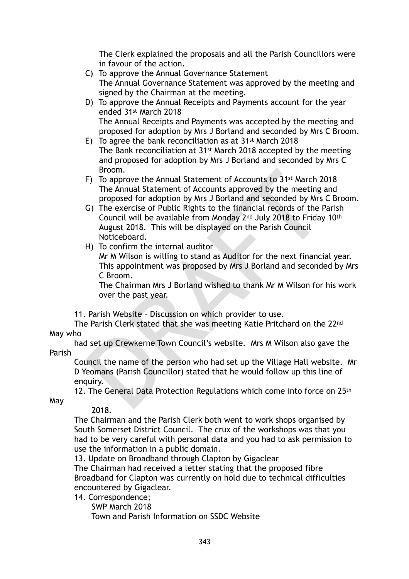The Clerk explained the proposals and all the Parish Councillors were in favour of the action.

- C) To approve the Annual Governance Statement The Annual Governance Statement was approved by the meeting and signed by the Chairman at the meeting.
- D) To approve the Annual Receipts and Payments account for the year ended 31st March 2018 The Annual Receipts and Payments was accepted by the meeting and proposed for adoption by Mrs J Borland and seconded by Mrs C Broom.
- E) To agree the bank reconciliation as at 31st March 2018 The Bank reconciliation at 31st March 2018 accepted by the meeting and proposed for adoption by Mrs J Borland and seconded by Mrs C Broom.
- F) To approve the Annual Statement of Accounts to 31st March 2018 The Annual Statement of Accounts approved by the meeting and proposed for adoption by Mrs J Borland and seconded by Mrs C Broom.
- Broom.<br>
To approve the Annual Statement of Accounts to 31st March 20<br>
The Annual Statement of Accounts approved by the meeting approposed for adoption by Mrs J Borland and seconded by Mrs G)<br>
G) The exercise of Public Rig G) The exercise of Public Rights to the financial records of the Parish Council will be available from Monday 2nd July 2018 to Friday 10th August 2018. This will be displayed on the Parish Council Noticeboard.
- H) To confirm the internal auditor

Mr M Wilson is willing to stand as Auditor for the next financial year. This appointment was proposed by Mrs J Borland and seconded by Mrs C Broom.

The Chairman Mrs J Borland wished to thank Mr M Wilson for his work over the past year.

11. Parish Website – Discussion on which provider to use.

 The Parish Clerk stated that she was meeting Katie Pritchard on the 22nd May who

 had set up Crewkerne Town Council's website. Mrs M Wilson also gave the Parish

Council the name of the person who had set up the Village Hall website. Mr D Yeomans (Parish Councillor) stated that he would follow up this line of enquiry.

12. The General Data Protection Regulations which come into force on 25th

May

## 2018.

The Chairman and the Parish Clerk both went to work shops organised by South Somerset District Council. The crux of the workshops was that you had to be very careful with personal data and you had to ask permission to use the information in a public domain.

13. Update on Broadband through Clapton by Gigaclear

The Chairman had received a letter stating that the proposed fibre Broadband for Clapton was currently on hold due to technical difficulties encountered by Gigaclear.

14. Correspondence;

SWP March 2018

Town and Parish Information on SSDC Website